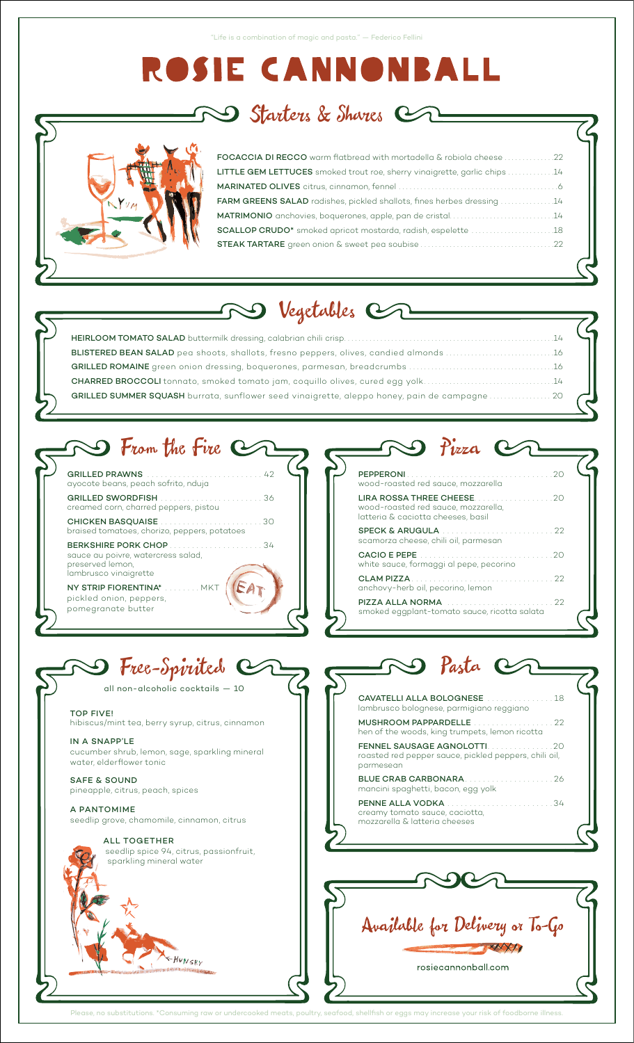# ROSIE CANNONI BALL

 $\mathfrak s$  Starters & Shares  $\mathfrak c$ 



| FOCACCIA DI RECCO warm flatbread with mortadella & robiola cheese 22          |  |
|-------------------------------------------------------------------------------|--|
| LITTLE GEM LETTUCES smoked trout roe, sherry vinaigrette, garlic chips 14     |  |
|                                                                               |  |
| <b>FARM GREENS SALAD</b> radishes, pickled shallots, fines herbes dressing 14 |  |
| MATRIMONIO anchovies, boquerones, apple, pan de cristal14                     |  |
|                                                                               |  |
|                                                                               |  |
|                                                                               |  |

# D Vegetables Cr  $\mathcal{L}_{\mathcal{L}}$

| BLISTERED BEAN SALAD pea shoots, shallots, fresno peppers, olives, candied almonds 16         |  |
|-----------------------------------------------------------------------------------------------|--|
|                                                                                               |  |
| <b>CHARRED BROCCOLI</b> tonnato, smoked tomato jam, coquillo olives, cured egg yolk14         |  |
| GRILLED SUMMER SQUASH burrata, sunflower seed vinaigrette, aleppo honey, pain de campagne  20 |  |
|                                                                                               |  |

# **BO** From the Fire Co

| GRILLED PRAWNS <b>Continued and Carl Continued American</b> 42<br>ayocote beans, peach sofrito, nduja    |
|----------------------------------------------------------------------------------------------------------|
| creamed corn, charred peppers, pistou                                                                    |
| braised tomatoes, chorizo, peppers, potatoes                                                             |
| BERKSHIRE PORK CHOP34<br>sauce au poivre, watercress salad,<br>preserved lemon.<br>lambrusco vinaigrette |
| NY STRIP FIORENTINA* MKT<br>pickled opion penners                                                        |

pomegranate butter

| Pizza                                                                                                                                                                                              |
|----------------------------------------------------------------------------------------------------------------------------------------------------------------------------------------------------|
| PEPPERONI And a service and a service of the<br>wood-roasted red sauce, mozzarella                                                                                                                 |
| LIRA ROSSA THREE CHEESE <b>And the Search Contract Contract Contract Contract Contract Contract Contract Contract</b><br>wood-roasted red sauce, mozzarella,<br>latteria & caciotta cheeses, basil |
| scamorza cheese, chili oil, parmesan                                                                                                                                                               |
| white sauce, formaggi al pepe, pecorino                                                                                                                                                            |
| CLAM PIZZA<br>anchovy-herb oil, pecorino, lemon                                                                                                                                                    |
| smoked eggplant-tomato sauce, ricotta salata                                                                                                                                                       |

 $\overline{\phantom{0}}$ 

Free-Spirited Cr all non-alcoholic cocktails  $-10$ **TOP FIVE!** hibiscus/mint tea, berry syrup, citrus, cinnamon IN A SNAPP'LE cucumber shrub, lemon, sage, sparkling mineral water, elderflower tonic **SAFE & SOUND** pineapple, citrus, peach, spices A PANTOMIME seedlip grove, chamomile, cinnamon, citrus ALL TOGETHER seedlip spice 94, citrus, passionfruit,

-HUNGRY

sparkling mineral water

| I Pasta C                                                                                               |  |
|---------------------------------------------------------------------------------------------------------|--|
|                                                                                                         |  |
| CAVATELLI ALLA BOLOGNESE  18<br>lambrusco bolognese, parmigiano reggiano                                |  |
| hen of the woods, king trumpets, lemon ricotta                                                          |  |
| <b>FENNEL SAUSAGE AGNOLOTTI20</b><br>roasted red pepper sauce, pickled peppers, chili oil,<br>parmesean |  |
| mancini spaghetti, bacon, egg yolk                                                                      |  |
| <b>PENNE ALLA VODKA</b><br>creamy tomato sauce, caciotta,<br>mozzarella S. latteria cheeses             |  |



Please, no substitutions. \*Consun ed meats, poultry, seafood, shellfish or eggs may increase your risk of foodborne illnes